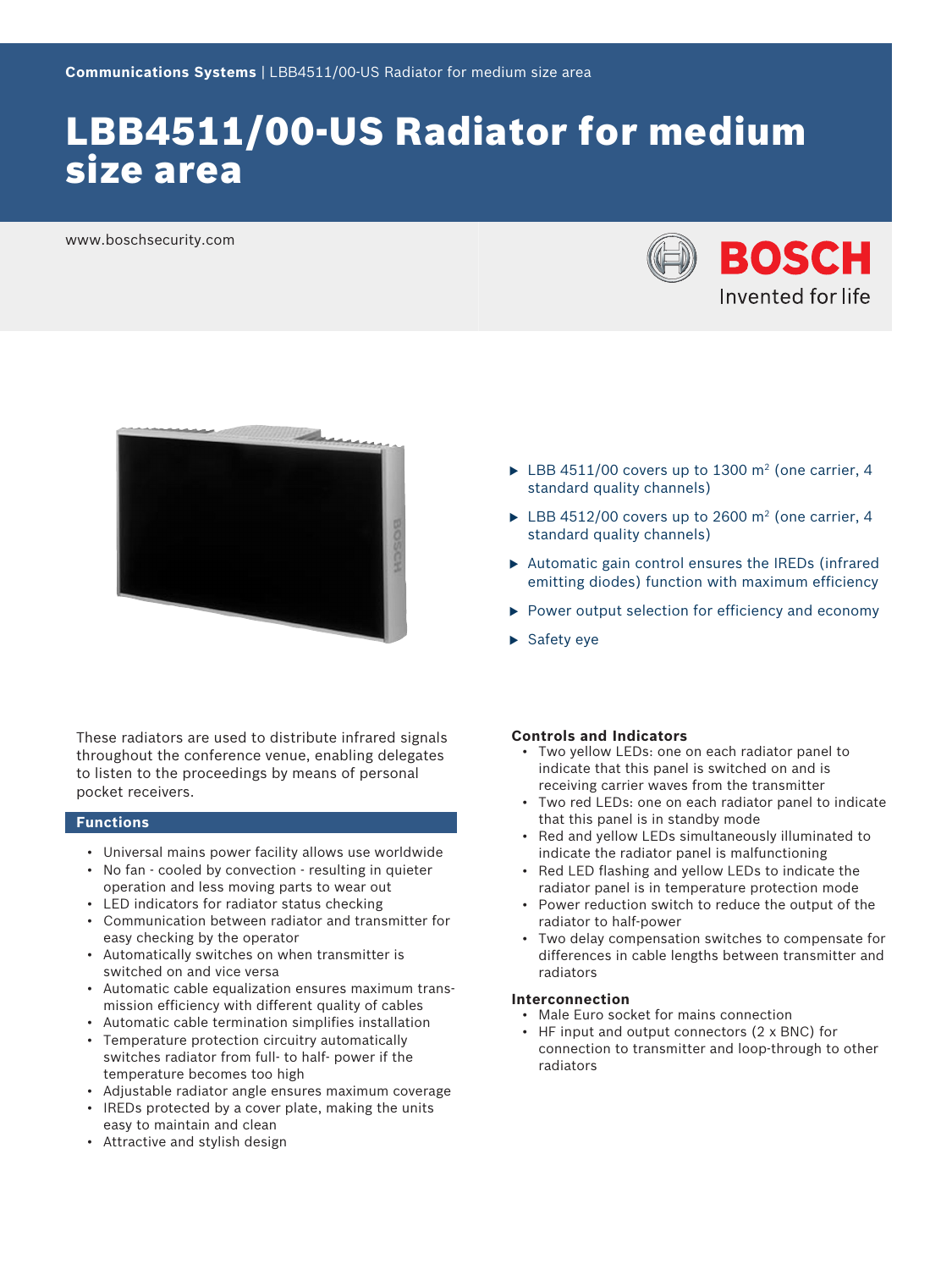# LBB4511/00-US Radiator for medium size area

www.boschsecurity.com





- $\blacktriangleright$  LBB 4511/00 covers up to 1300 m<sup>2</sup> (one carrier, 4 standard quality channels)
- $\blacktriangleright$  LBB 4512/00 covers up to 2600 m<sup>2</sup> (one carrier, 4 standard quality channels)
- $\triangleright$  Automatic gain control ensures the IREDs (infrared emitting diodes) function with maximum efficiency
- $\blacktriangleright$  Power output selection for efficiency and economy
- $\blacktriangleright$  Safety eye

These radiators are used to distribute infrared signals throughout the conference venue, enabling delegates to listen to the proceedings by means of personal pocket receivers.

#### **Functions**

- Universal mains power facility allows use worldwide
- No fan cooled by convection resulting in quieter operation and less moving parts to wear out
- LED indicators for radiator status checking
- Communication between radiator and transmitter for easy checking by the operator
- Automatically switches on when transmitter is switched on and vice versa
- Automatic cable equalization ensures maximum transmission efficiency with different quality of cables
- Automatic cable termination simplifies installation • Temperature protection circuitry automatically
- switches radiator from full- to half- power if the temperature becomes too high
- Adjustable radiator angle ensures maximum coverage
- IREDs protected by a cover plate, making the units easy to maintain and clean
- Attractive and stylish design

#### **Controls and Indicators**

- Two yellow LEDs: one on each radiator panel to indicate that this panel is switched on and is receiving carrier waves from the transmitter
- Two red LEDs: one on each radiator panel to indicate that this panel is in standby mode
- Red and yellow LEDs simultaneously illuminated to indicate the radiator panel is malfunctioning
- Red LED flashing and yellow LEDs to indicate the radiator panel is in temperature protection mode
- Power reduction switch to reduce the output of the radiator to half-power
- Two delay compensation switches to compensate for differences in cable lengths between transmitter and radiators

#### **Interconnection**

- Male Euro socket for mains connection
- HF input and output connectors (2 x BNC) for connection to transmitter and loop-through to other radiators